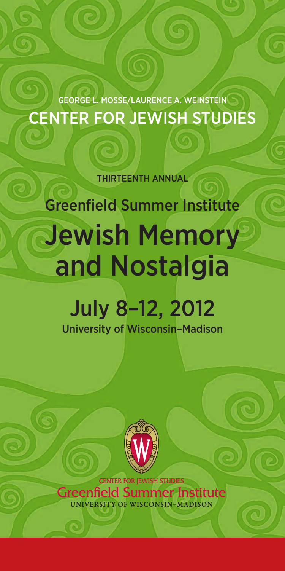GEORGE L. MOSSE/LAURENCE A. WEINSTEIN CENTER FOR JEWISH STUDIES

THIRTEENTH ANNUAL

### Greenfield Summer Institute

# Jewish Memory and Nostalgia

## July 8–12, 2012 University of Wisconsin–Madison



**CENTER FOR JEWISH STUDIES Greenfield Summer Institute** UNIVERSITY OF WISCONSIN-MADISON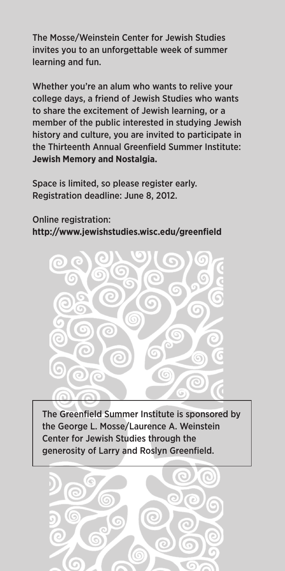The Mosse/Weinstein Center for Jewish Studies invites you to an unforgettable week of summer learning and fun.

Whether you're an alum who wants to relive your college days, a friend of Jewish Studies who wants to share the excitement of Jewish learning, or a member of the public interested in studying Jewish history and culture, you are invited to participate in the Thirteenth Annual Greenfield Summer Institute: **Jewish Memory and Nostalgia.**

Space is limited, so please register early. Registration deadline: June 8, 2012.

Online registration: **http://www.jewishstudies.wisc.edu/greenfield**



The Greenfield Summer Institute is sponsored by the George L. Mosse/Laurence A. Weinstein Center for Jewish Studies through the generosity of Larry and Roslyn Greenfield.

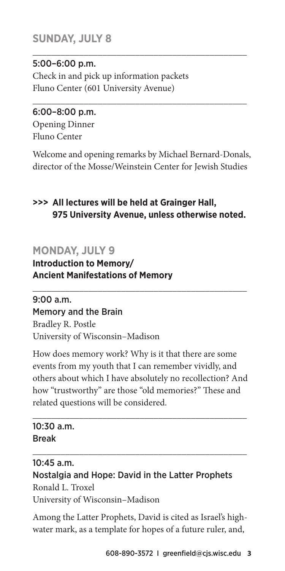#### **SUNDAY, JULY 8**

#### 5:00–6:00 p.m.

Check in and pick up information packets Fluno Center (601 University Avenue)

#### 6:00–8:00 p.m.

Opening Dinner Fluno Center

Welcome and opening remarks by Michael Bernard-Donals, director of the Mosse/Weinstein Center for Jewish Studies

\_\_\_\_\_\_\_\_\_\_\_\_\_\_\_\_\_\_\_\_\_\_\_\_\_\_\_\_\_\_\_\_\_\_\_\_\_\_\_\_\_\_\_\_\_\_

\_\_\_\_\_\_\_\_\_\_\_\_\_\_\_\_\_\_\_\_\_\_\_\_\_\_\_\_\_\_\_\_\_\_\_\_\_\_\_\_\_\_\_\_\_\_

#### **>>> All lectures will be held at Grainger Hall, 975 University Avenue, unless otherwise noted.**

\_\_\_\_\_\_\_\_\_\_\_\_\_\_\_\_\_\_\_\_\_\_\_\_\_\_\_\_\_\_\_\_\_\_\_\_\_\_\_\_\_\_\_\_\_\_

#### **MONDAY, JULY 9**

#### **Introduction to Memory/ Ancient Manifestations of Memory**

9:00 a.m. Memory and the Brain Bradley R. Postle University of Wisconsin–Madison

How does memory work? Why is it that there are some events from my youth that I can remember vividly, and others about which I have absolutely no recollection? And how "trustworthy" are those "old memories?" These and related questions will be considered.

\_\_\_\_\_\_\_\_\_\_\_\_\_\_\_\_\_\_\_\_\_\_\_\_\_\_\_\_\_\_\_\_\_\_\_\_\_\_\_\_\_\_\_\_\_\_

\_\_\_\_\_\_\_\_\_\_\_\_\_\_\_\_\_\_\_\_\_\_\_\_\_\_\_\_\_\_\_\_\_\_\_\_\_\_\_\_\_\_\_\_\_\_

#### 10:30 a.m. Break

10:45 a.m. Nostalgia and Hope: David in the Latter Prophets Ronald L. Troxel University of Wisconsin–Madison

Among the Latter Prophets, David is cited as Israel's highwater mark, as a template for hopes of a future ruler, and,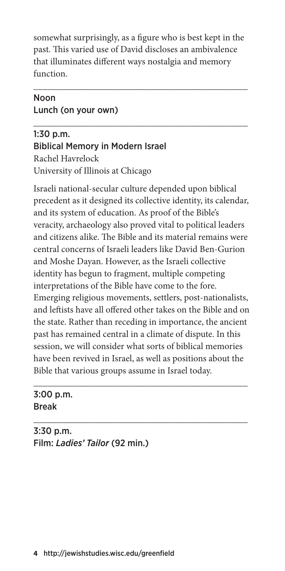somewhat surprisingly, as a figure who is best kept in the past. This varied use of David discloses an ambivalence that illuminates different ways nostalgia and memory function.

\_\_\_\_\_\_\_\_\_\_\_\_\_\_\_\_\_\_\_\_\_\_\_\_\_\_\_\_\_\_\_\_\_\_\_\_\_\_\_\_\_\_\_\_\_\_

#### Noon Lunch (on your own)

\_\_\_\_\_\_\_\_\_\_\_\_\_\_\_\_\_\_\_\_\_\_\_\_\_\_\_\_\_\_\_\_\_\_\_\_\_\_\_\_\_\_\_\_\_\_ 1:30 p.m. Biblical Memory in Modern Israel Rachel Havrelock University of Illinois at Chicago

Israeli national-secular culture depended upon biblical precedent as it designed its collective identity, its calendar, and its system of education. As proof of the Bible's veracity, archaeology also proved vital to political leaders and citizens alike. The Bible and its material remains were central concerns of Israeli leaders like David Ben-Gurion and Moshe Dayan. However, as the Israeli collective identity has begun to fragment, multiple competing interpretations of the Bible have come to the fore. Emerging religious movements, settlers, post-nationalists, and leftists have all offered other takes on the Bible and on the state. Rather than receding in importance, the ancient past has remained central in a climate of dispute. In this session, we will consider what sorts of biblical memories have been revived in Israel, as well as positions about the Bible that various groups assume in Israel today.

\_\_\_\_\_\_\_\_\_\_\_\_\_\_\_\_\_\_\_\_\_\_\_\_\_\_\_\_\_\_\_\_\_\_\_\_\_\_\_\_\_\_\_\_\_\_

\_\_\_\_\_\_\_\_\_\_\_\_\_\_\_\_\_\_\_\_\_\_\_\_\_\_\_\_\_\_\_\_\_\_\_\_\_\_\_\_\_\_\_\_\_\_

#### 3:00 p.m. Break

3:30 p.m. Film: *Ladies' Tailor* (92 min.)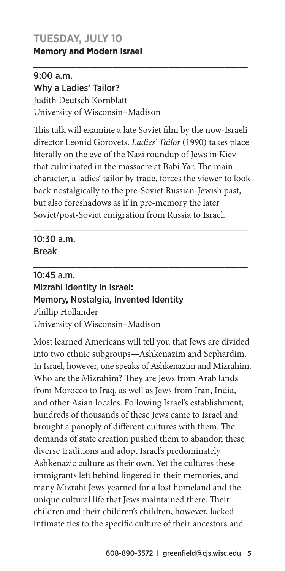#### **TUESDAY, JULY 10 Memory and Modern Israel**

9:00 a.m. Why a Ladies' Tailor? Judith Deutsch Kornblatt University of Wisconsin–Madison

This talk will examine a late Soviet film by the now-Israeli director Leonid Gorovets. *Ladies' Tailor* (1990) takes place literally on the eve of the Nazi roundup of Jews in Kiev that culminated in the massacre at Babi Yar. The main character, a ladies' tailor by trade, forces the viewer to look back nostalgically to the pre-Soviet Russian-Jewish past, but also foreshadows as if in pre-memory the later Soviet/post-Soviet emigration from Russia to Israel.

\_\_\_\_\_\_\_\_\_\_\_\_\_\_\_\_\_\_\_\_\_\_\_\_\_\_\_\_\_\_\_\_\_\_\_\_\_\_\_\_\_\_\_\_\_\_

\_\_\_\_\_\_\_\_\_\_\_\_\_\_\_\_\_\_\_\_\_\_\_\_\_\_\_\_\_\_\_\_\_\_\_\_\_\_\_\_\_\_\_\_\_\_

\_\_\_\_\_\_\_\_\_\_\_\_\_\_\_\_\_\_\_\_\_\_\_\_\_\_\_\_\_\_\_\_\_\_\_\_\_\_\_\_\_\_\_\_\_\_

#### 10:30 a.m. Break

10:45 a.m. Mizrahi Identity in Israel: Memory, Nostalgia, Invented Identity Phillip Hollander University of Wisconsin–Madison

Most learned Americans will tell you that Jews are divided into two ethnic subgroups—Ashkenazim and Sephardim. In Israel, however, one speaks of Ashkenazim and Mizrahim. Who are the Mizrahim? They are Jews from Arab lands from Morocco to Iraq, as well as Jews from Iran, India, and other Asian locales. Following Israel's establishment, hundreds of thousands of these Jews came to Israel and brought a panoply of different cultures with them. The demands of state creation pushed them to abandon these diverse traditions and adopt Israel's predominately Ashkenazic culture as their own. Yet the cultures these immigrants left behind lingered in their memories, and many Mizrahi Jews yearned for a lost homeland and the unique cultural life that Jews maintained there. Their children and their children's children, however, lacked intimate ties to the specific culture of their ancestors and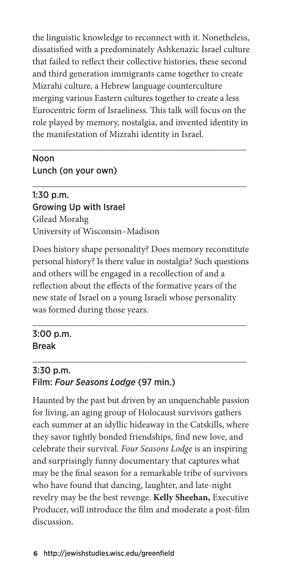the linguistic knowledge to reconnect with it. Nonetheless, dissatisfied with a predominately Ashkenazic Israel culture that failed to reflect their collective histories, these second and third generation immigrants came together to create Mizrahi culture, a Hebrew language counterculture merging various Eastern cultures together to create a less Eurocentric form of Israeliness. This talk will focus on the role played by memory, nostalgia, and invented identity in the manifestation of Mizrahi identity in Israel.

\_\_\_\_\_\_\_\_\_\_\_\_\_\_\_\_\_\_\_\_\_\_\_\_\_\_\_\_\_\_\_\_\_\_\_\_\_\_\_\_\_\_\_\_\_\_

\_\_\_\_\_\_\_\_\_\_\_\_\_\_\_\_\_\_\_\_\_\_\_\_\_\_\_\_\_\_\_\_\_\_\_\_\_\_\_\_\_\_\_\_\_\_

#### Noon Lunch (on your own)

#### 1:30 p.m. Growing Up with Israel Gilead Morahg University of Wisconsin–Madison

Does history shape personality? Does memory reconstitute personal history? Is there value in nostalgia? Such questions and others will be engaged in a recollection of and a reflection about the effects of the formative years of the new state of Israel on a young Israeli whose personality was formed during those years.

\_\_\_\_\_\_\_\_\_\_\_\_\_\_\_\_\_\_\_\_\_\_\_\_\_\_\_\_\_\_\_\_\_\_\_\_\_\_\_\_\_\_\_\_\_\_

\_\_\_\_\_\_\_\_\_\_\_\_\_\_\_\_\_\_\_\_\_\_\_\_\_\_\_\_\_\_\_\_\_\_\_\_\_\_\_\_\_\_\_\_\_\_

#### 3:00 p.m. Break

#### 3:30 p.m. Film: *Four Seasons Lodge* (97 min.)

Haunted by the past but driven by an unquenchable passion for living, an aging group of Holocaust survivors gathers each summer at an idyllic hideaway in the Catskills, where they savor tightly bonded friendships, find new love, and celebrate their survival. *Four Seasons Lodge* is an inspiring and surprisingly funny documentary that captures what may be the final season for a remarkable tribe of survivors who have found that dancing, laughter, and late-night revelry may be the best revenge. **Kelly Sheehan,** Executive Producer, will introduce the film and moderate a post-film discussion.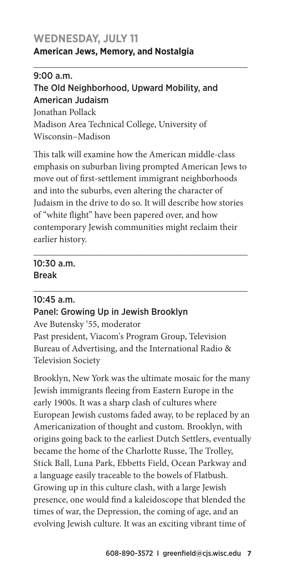#### **WEDNESDAY, JULY 11**

#### **American Jews, Memory, and Nostalgia**

#### 9:00 a.m. The Old Neighborhood, Upward Mobility, and American Judaism

\_\_\_\_\_\_\_\_\_\_\_\_\_\_\_\_\_\_\_\_\_\_\_\_\_\_\_\_\_\_\_\_\_\_\_\_\_\_\_\_\_\_\_\_\_\_

Jonathan Pollack Madison Area Technical College, University of Wisconsin–Madison

This talk will examine how the American middle-class emphasis on suburban living prompted American Jews to move out of first-settlement immigrant neighborhoods and into the suburbs, even altering the character of Judaism in the drive to do so. It will describe how stories of "white flight" have been papered over, and how contemporary Jewish communities might reclaim their earlier history.

\_\_\_\_\_\_\_\_\_\_\_\_\_\_\_\_\_\_\_\_\_\_\_\_\_\_\_\_\_\_\_\_\_\_\_\_\_\_\_\_\_\_\_\_\_\_

\_\_\_\_\_\_\_\_\_\_\_\_\_\_\_\_\_\_\_\_\_\_\_\_\_\_\_\_\_\_\_\_\_\_\_\_\_\_\_\_\_\_\_\_\_\_

#### 10:30 a.m. Break

#### 10:45 a.m.

#### Panel: Growing Up in Jewish Brooklyn

Ave Butensky '55, moderator

Past president, Viacom's Program Group, Television Bureau of Advertising, and the International Radio & Television Society

Brooklyn, New York was the ultimate mosaic for the many Jewish immigrants fleeing from Eastern Europe in the early 1900s. It was a sharp clash of cultures where European Jewish customs faded away, to be replaced by an Americanization of thought and custom. Brooklyn, with origins going back to the earliest Dutch Settlers, eventually became the home of the Charlotte Russe, The Trolley, Stick Ball, Luna Park, Ebbetts Field, Ocean Parkway and a language easily traceable to the bowels of Flatbush. Growing up in this culture clash, with a large Jewish presence, one would find a kaleidoscope that blended the times of war, the Depression, the coming of age, and an evolving Jewish culture. It was an exciting vibrant time of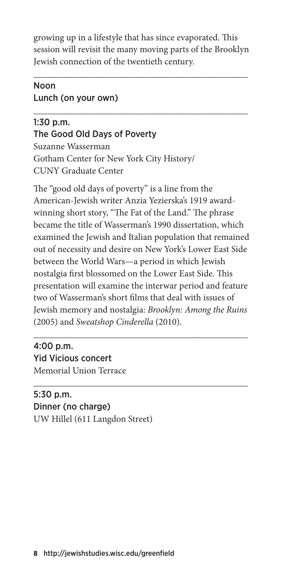growing up in a lifestyle that has since evaporated. This session will revisit the many moving parts of the Brooklyn Jewish connection of the twentieth century.

\_\_\_\_\_\_\_\_\_\_\_\_\_\_\_\_\_\_\_\_\_\_\_\_\_\_\_\_\_\_\_\_\_\_\_\_\_\_\_\_\_\_\_\_\_\_

\_\_\_\_\_\_\_\_\_\_\_\_\_\_\_\_\_\_\_\_\_\_\_\_\_\_\_\_\_\_\_\_\_\_\_\_\_\_\_\_\_\_\_\_\_\_

#### Noon Lunch (on your own)

#### 1:30 p.m. The Good Old Days of Poverty

Suzanne Wasserman Gotham Center for New York City History/ CUNY Graduate Center

The "good old days of poverty" is a line from the American-Jewish writer Anzia Yezierska's 1919 awardwinning short story, "The Fat of the Land." The phrase became the title of Wasserman's 1990 dissertation, which examined the Jewish and Italian population that remained out of necessity and desire on New York's Lower East Side between the World Wars—a period in which Jewish nostalgia first blossomed on the Lower East Side. This presentation will examine the interwar period and feature two of Wasserman's short films that deal with issues of Jewish memory and nostalgia: *Brooklyn: Among the Ruins* (2005) and *Sweatshop Cinderella* (2010).

\_\_\_\_\_\_\_\_\_\_\_\_\_\_\_\_\_\_\_\_\_\_\_\_\_\_\_\_\_\_\_\_\_\_\_\_\_\_\_\_\_\_\_\_\_\_

#### 4:00 p.m. Yid Vicious concert Memorial Union Terrace

#### \_\_\_\_\_\_\_\_\_\_\_\_\_\_\_\_\_\_\_\_\_\_\_\_\_\_\_\_\_\_\_\_\_\_\_\_\_\_\_\_\_\_\_\_\_\_ 5:30 p.m. Dinner (no charge)

UW Hillel (611 Langdon Street)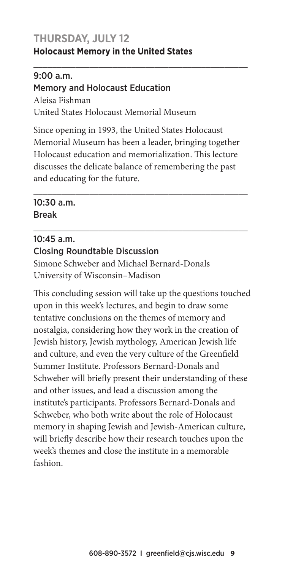#### **THURSDAY, JULY 12 Holocaust Memory in the United States**

#### 9:00 a.m. Memory and Holocaust Education Aleisa Fishman United States Holocaust Memorial Museum

Since opening in 1993, the United States Holocaust Memorial Museum has been a leader, bringing together Holocaust education and memorialization. This lecture discusses the delicate balance of remembering the past and educating for the future.

\_\_\_\_\_\_\_\_\_\_\_\_\_\_\_\_\_\_\_\_\_\_\_\_\_\_\_\_\_\_\_\_\_\_\_\_\_\_\_\_\_\_\_\_\_\_

\_\_\_\_\_\_\_\_\_\_\_\_\_\_\_\_\_\_\_\_\_\_\_\_\_\_\_\_\_\_\_\_\_\_\_\_\_\_\_\_\_\_\_\_\_\_

#### 10:30 a.m. Break

#### \_\_\_\_\_\_\_\_\_\_\_\_\_\_\_\_\_\_\_\_\_\_\_\_\_\_\_\_\_\_\_\_\_\_\_\_\_\_\_\_\_\_\_\_\_\_ 10:45 a.m. Closing Roundtable Discussion

Simone Schweber and Michael Bernard-Donals University of Wisconsin–Madison

This concluding session will take up the questions touched upon in this week's lectures, and begin to draw some tentative conclusions on the themes of memory and nostalgia, considering how they work in the creation of Jewish history, Jewish mythology, American Jewish life and culture, and even the very culture of the Greenfield Summer Institute. Professors Bernard-Donals and Schweber will briefly present their understanding of these and other issues, and lead a discussion among the institute's participants. Professors Bernard-Donals and Schweber, who both write about the role of Holocaust memory in shaping Jewish and Jewish-American culture, will briefly describe how their research touches upon the week's themes and close the institute in a memorable fashion.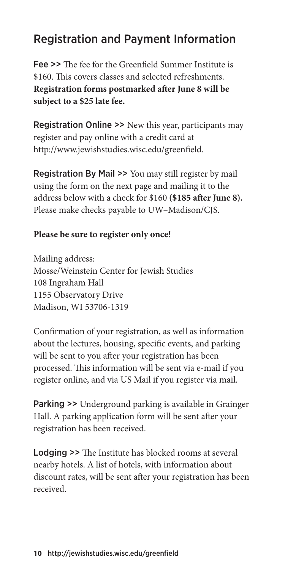#### Registration and Payment Information

Fee >> The fee for the Greenfield Summer Institute is \$160. This covers classes and selected refreshments. **Registration forms postmarked after June 8 will be subject to a \$25 late fee.**

Registration Online >> New this year, participants may register and pay online with a credit card at http://www.jewishstudies.wisc.edu/greenfield.

Registration By Mail >> You may still register by mail using the form on the next page and mailing it to the address below with a check for \$160 **(\$185** after June 8). Please make checks payable to UW–Madison/CJS.

#### **Please be sure to register only once!**

Mailing address: Mosse/Weinstein Center for Jewish Studies 108 Ingraham Hall 1155 Observatory Drive Madison, WI 53706-1319

Confirmation of your registration, as well as information about the lectures, housing, specific events, and parking will be sent to you after your registration has been processed. This information will be sent via e-mail if you register online, and via US Mail if you register via mail.

Parking >> Underground parking is available in Grainger Hall. A parking application form will be sent after your registration has been received.

Lodging >> The Institute has blocked rooms at several nearby hotels. A list of hotels, with information about discount rates, will be sent after your registration has been received.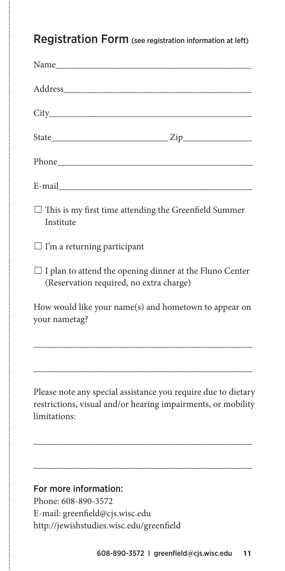#### Registration Form (see registration information at left)

| Name and the state of the state of the state of the state of the state of the state of the state of the state of the state of the state of the state of the state of the state of the state of the state of the state of the s |
|--------------------------------------------------------------------------------------------------------------------------------------------------------------------------------------------------------------------------------|
| <i>Address</i>                                                                                                                                                                                                                 |
|                                                                                                                                                                                                                                |
|                                                                                                                                                                                                                                |
| Phone <b><i>Phone</i></b>                                                                                                                                                                                                      |
| E-mail                                                                                                                                                                                                                         |
| $\Box$ This is my first time attending the Greenfield Summer<br>Institute                                                                                                                                                      |
| $\Box$ I'm a returning participant                                                                                                                                                                                             |
| $\Box$ I plan to attend the opening dinner at the Fluno Center<br>(Reservation required, no extra charge)                                                                                                                      |
| How would like your name(s) and hometown to appear on<br>your nametag?                                                                                                                                                         |
|                                                                                                                                                                                                                                |
| Please note any special assistance you require due to dietary<br>restrictions, visual and/or hearing impairments, or mobility<br>limitations:                                                                                  |
|                                                                                                                                                                                                                                |
| For more information:                                                                                                                                                                                                          |
| Phone: 608-890-3572<br>E-mail: greenfield@cjs.wisc.edu                                                                                                                                                                         |
|                                                                                                                                                                                                                                |

http://jewishstudies.wisc.edu/greenfield